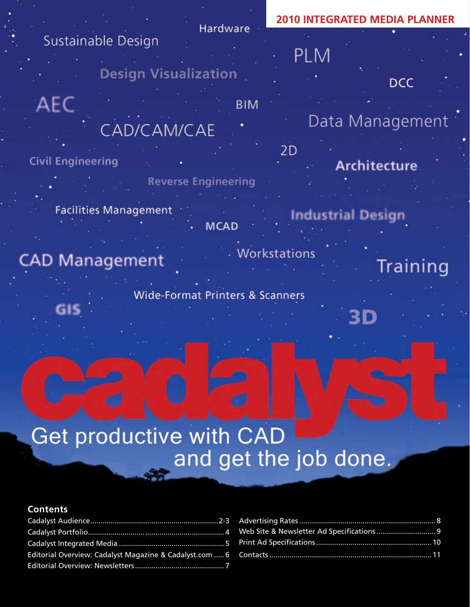## **2010 INTEGRATED MEDIA PLANNER**Hardware Sustainable Design **PLM Design Visualization DCC** AEC **BIM** Data Management CAD/CAM/CAE

2D

## **Civil Engineering**

GIS

- **Reverse Engineering**
- **Facilities Management MCAD**
- . Workstations
- **CAD Management** 
	- **Wide-Format Printers & Scanners**

- Architecture
- **Industrial Design**

3D

Training

# **Get productive with CAD** and get the job done.

### **Contents**

Cadalyst Audience...............................................................2-3 Cadalyst Portfolio................................................................... 4 Cadalyst Integrated Media .................................................... 5 Editorial Overview: Cadalyst Magazine & Cadalyst.com ..... 6 Editorial Overview: Newsletters............................................ 7

| Web Site & Newsletter Ad Specifications 9 |  |
|-------------------------------------------|--|
|                                           |  |
|                                           |  |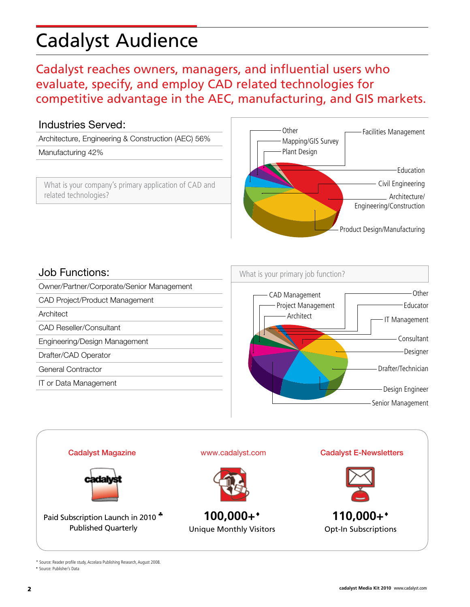# Cadalyst Audience

Design Engineer

Senior Management

 $\overline{1}$ 6 2

IT Management

Educator

## Cadalyst reaches owners, managers, and influential users who evaluate, specify, and employ CAD related technologies for competitive advantage in the AEC, manufacturing, and GIS markets.

15

3

### Industries Served:

Architecture, Engineering & Construction (AEC) 56%

#### Manufacturing 42%

What is your company's primary application of CAD and related technologies?



### Job Functions:

Owner/Partner/Corporate/Senior Management  $\overline{\phantom{a}}$ 

CAD Project/Product Management

**Architect** 

CAD Reseller/Consultant

Engineering/Design Management

Drafter/CAD Operator

General Contractor

IT or Data Management





\* Source: Reader profile study, Accelara Publishing Research, August 2008. ♦ Source: Publisher's Data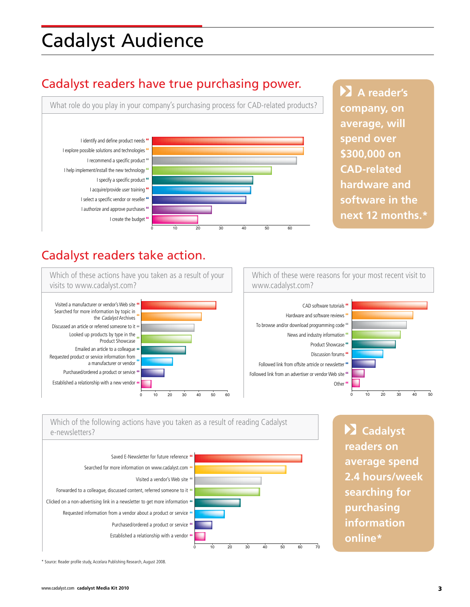## Cadalyst Audience

## Cadalyst readers have true purchasing power.

What role do you play in your company's purchasing process for CAD-related products?



44 43 41 **next 12 months.\* EX** A reader's **company, on average, will spend over \$300,000 on CAD-related hardware and software in the** 

20

## Cadalyst readers take action.



Which of these were reasons for your most recent visit to www.cadalyst.com?



16



Purchased/ordered a product or service

0 10 20 30 40 50 60  **Cadalyst readers on average spend 2.4 hours/week searching for purchasing information online\***

\* Source: Reader profile study, Accelara Publishing Research, August 2008.

Visited a vendor's Web site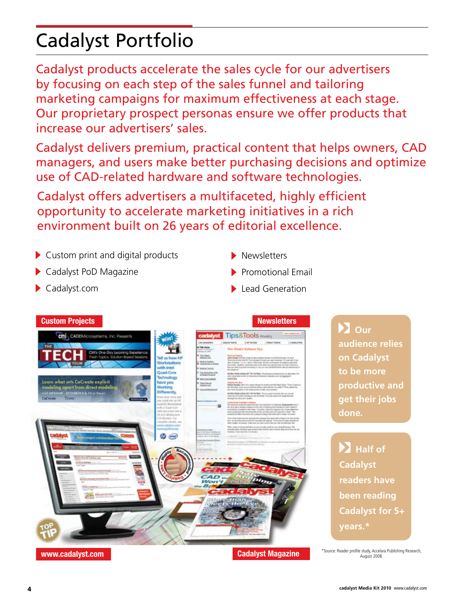# Cadalyst Portfolio

Cadalyst products accelerate the sales cycle for our advertisers by focusing on each step of the sales funnel and tailoring marketing campaigns for maximum effectiveness at each stage. Our proprietary prospect personas ensure we offer products that increase our advertisers' sales.

Cadalyst delivers premium, practical content that helps owners, CAD managers, and users make better purchasing decisions and optimize use of CAD-related hardware and software technologies.

Cadalyst offers advertisers a multifaceted, highly efficient opportunity to accelerate marketing initiatives in a rich environment built on 26 years of editorial excellence.

- ▶ Custom print and digital products
- Cadalyst PoD Magazine
- Cadalyst.com
- Newsletters
- $\blacktriangleright$  Promotional Email
- $\blacktriangleright$  Lead Generation



\*Source: Reader profile study, Accelara Publishing Research, August 2008.

### **Custom Projects Newsletters**

 $\sum$  Our **audience relies on Cadalyst to be more productive and get their jobs done***.*

**Example 1 Cadalyst readers have been reading Cadalyst for 5+ years.\***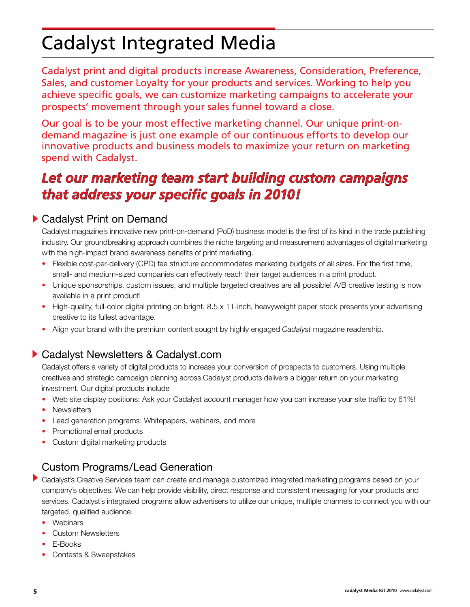## Cadalyst Integrated Media

Cadalyst print and digital products increase Awareness, Consideration, Preference, Sales, and customer Loyalty for your products and services. Working to help you achieve specific goals, we can customize marketing campaigns to accelerate your prospects' movement through your sales funnel toward a close.

Our goal is to be your most effective marketing channel. Our unique print-ondemand magazine is just one example of our continuous efforts to develop our innovative products and business models to maximize your return on marketing spend with Cadalyst.

## *Let our marketing team start building custom campaigns that address your specific goals in 2010!*

## Cadalyst Print on Demand

Cadalyst magazine's innovative new print-on-demand (PoD) business model is the first of its kind in the trade publishing industry. Our groundbreaking approach combines the niche targeting and measurement advantages of digital marketing with the high-impact brand awareness benefits of print marketing.

- Flexible cost-per-delivery (CPD) fee structure accommodates marketing budgets of all sizes. For the first time, small- and medium-sized companies can effectively reach their target audiences in a print product.
- Unique sponsorships, custom issues, and multiple targeted creatives are all possible! A/B creative testing is now available in a print product!
- High-quality, full-color digital printing on bright, 8.5 x 11-inch, heavyweight paper stock presents your advertising creative to its fullest advantage.
- Align your brand with the premium content sought by highly engaged *Cadalyst* magazine readership.

## ▶ Cadalyst Newsletters & Cadalyst.com

Cadalyst offers a variety of digital products to increase your conversion of prospects to customers. Using multiple creatives and strategic campaign planning across Cadalyst products delivers a bigger return on your marketing investment. Our digital products include

- Web site display positions: Ask your Cadalyst account manager how you can increase your site traffic by 61%!
- Newsletters
- Lead generation programs: Whitepapers, webinars, and more
- Promotional email products
- Custom digital marketing products

## Custom Programs/Lead Generation

- Cadalyst's Creative Services team can create and manage customized integrated marketing programs based on your company's objectives. We can help provide visibility, direct response and consistent messaging for your products and services. Cadalyst's integrated programs allow advertisers to utilize our unique, multiple channels to connect you with our targeted, qualified audience.
	- Webinars
	- Custom Newsletters
	- E-Books
	- Contests & Sweepstakes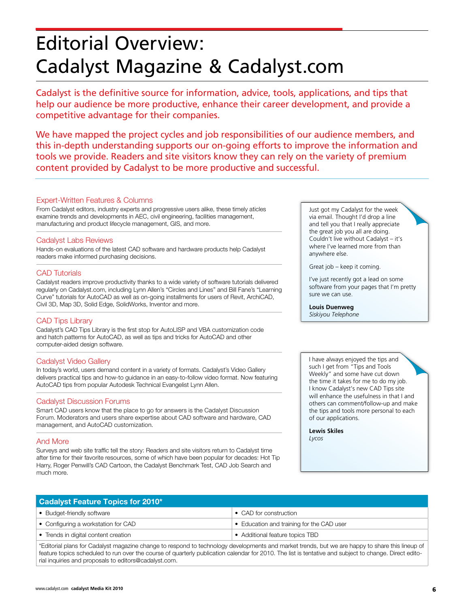## Editorial Overview: Cadalyst Magazine & Cadalyst.com

Cadalyst is the definitive source for information, advice, tools, applications, and tips that help our audience be more productive, enhance their career development, and provide a competitive advantage for their companies.

We have mapped the project cycles and job responsibilities of our audience members, and this in-depth understanding supports our on-going efforts to improve the information and tools we provide. Readers and site visitors know they can rely on the variety of premium content provided by Cadalyst to be more productive and successful.

#### Expert-Written Features & Columns

From Cadalyst editors, industry experts and progressive users alike, these timely aticles examine trends and developments in AEC, civil engineering, facilities management, manufacturing and product lifecycle management, GIS, and more.

#### Cadalyst Labs Reviews

Hands-on evaluations of the latest CAD software and hardware products help Cadalyst readers make informed purchasing decisions.

#### CAD Tutorials

Cadalyst readers improve productivity thanks to a wide variety of software tutorials delivered regularly on Cadalyst.com, including Lynn Allen's "Circles and Lines" and Bill Fane's "Learning Curve" tutorials for AutoCAD as well as on-going installments for users of Revit, ArchiCAD, Civil 3D, Map 3D, Solid Edge, SolidWorks, Inventor and more.

#### CAD Tips Library

Cadalyst's CAD Tips Library is the first stop for AutoLISP and VBA customization code and hatch patterns for AutoCAD, as well as tips and tricks for AutoCAD and other computer-aided design software.

#### Cadalyst Video Gallery

In today's world, users demand content in a variety of formats. Cadalyst's Video Gallery delivers practical tips and how-to guidance in an easy-to-follow video format. Now featuring AutoCAD tips from popular Autodesk Technical Evangelist Lynn Allen.

#### Cadalyst Discussion Forums

Smart CAD users know that the place to go for answers is the Cadalyst Discussion Forum. Moderators and users share expertise about CAD software and hardware, CAD management, and AutoCAD customization.

#### And More

Surveys and web site traffic tell the story: Readers and site visitors return to Cadalyst time after time for their favorite resources, some of which have been popular for decades: Hot Tip Harry, Roger Penwill's CAD Cartoon, the Cadalyst Benchmark Test, CAD Job Search and much more.

Just got my Cadalyst for the week via email. Thought I'd drop a line and tell you that I really appreciate the great job you all are doing. Couldn't live without Cadalyst – it's where I've learned more from than anywhere else.

Great job – keep it coming.

I've just recently got a lead on some software from your pages that I'm pretty sure we can use.

#### **Louis Duenweg** *Siskiyou Telephone*

I have always enjoyed the tips and such I get from "Tips and Tools Weekly" and some have cut down the time it takes for me to do my job. I know Cadalyst's new CAD Tips site will enhance the usefulness in that I and others can comment/follow-up and make the tips and tools more personal to each of our applications.

**Lewis Skiles** *Lycos*

| <b>Cadalyst Feature Topics for 2010*</b> |                                           |
|------------------------------------------|-------------------------------------------|
| • Budget-friendly software               | • CAD for construction                    |
| • Configuring a workstation for CAD      | • Education and training for the CAD user |
| • Trends in digital content creation     | • Additional feature topics TBD           |
|                                          |                                           |

\*Editorial plans for Cadalyst magazine change to respond to technology developments and market trends, but we are happy to share this lineup of feature topics scheduled to run over the course of quarterly publication calendar for 2010. The list is tentative and subject to change. Direct editorial inquiries and proposals to editors@cadalyst.com.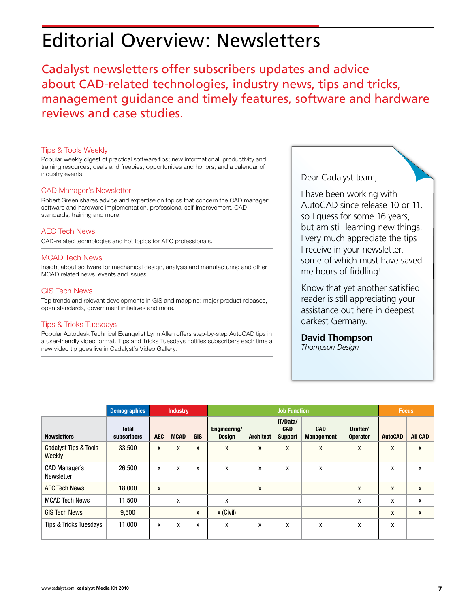## Editorial Overview: Newsletters

Cadalyst newsletters offer subscribers updates and advice about CAD-related technologies, industry news, tips and tricks, management guidance and timely features, software and hardware reviews and case studies.

#### Tips & Tools Weekly

Popular weekly digest of practical software tips; new informational, productivity and training resources; deals and freebies; opportunities and honors; and a calendar of industry events.

#### CAD Manager's Newsletter

Robert Green shares advice and expertise on topics that concern the CAD manager: software and hardware implementation, professional self-improvement, CAD standards, training and more.

#### AEC Tech News

CAD-related technologies and hot topics for AEC professionals.

#### MCAD Tech News

Insight about software for mechanical design, analysis and manufacturing and other MCAD related news, events and issues.

#### GIS Tech News

Top trends and relevant developments in GIS and mapping: major product releases, open standards, government initiatives and more.

#### Tips & Tricks Tuesdays

Popular Autodesk Technical Evangelist Lynn Allen offers step-by-step AutoCAD tips in a user-friendly video format. Tips and Tricks Tuesdays notifies subscribers each time a new video tip goes live in Cadalyst's Video Gallery.

Dear Cadalyst team,

I have been working with AutoCAD since release 10 or 11, so I guess for some 16 years, but am still learning new things. I very much appreciate the tips I receive in your newsletter, some of which must have saved me hours of fiddling!

Know that yet another satisfied reader is still appreciating your assistance out here in deepest darkest Germany.

#### **David Thompson**

*Thompson Design*

|                                 | <b>Demographics</b>                | <b>Industry</b> |             | <b>Job Function</b> |                               |                  |                                          |                                 | <b>Focus</b>                |                |                |
|---------------------------------|------------------------------------|-----------------|-------------|---------------------|-------------------------------|------------------|------------------------------------------|---------------------------------|-----------------------------|----------------|----------------|
| <b>Newsletters</b>              | <b>Total</b><br><b>subscribers</b> | <b>AEC</b>      | <b>MCAD</b> | <b>GIS</b>          | Engineering/<br><b>Design</b> | <b>Architect</b> | IT/Data/<br><b>CAD</b><br><b>Support</b> | <b>CAD</b><br><b>Management</b> | Drafter/<br><b>Operator</b> | <b>AutoCAD</b> | <b>AII CAD</b> |
| Cadalyst Tips & Tools<br>Weekly | 33,500                             | X               | X           | X                   | X                             | X                | X                                        | X                               | X                           | X              | X              |
| CAD Manager's<br>Newsletter     | 26,500                             | X               | x           | X                   | X                             | X                | X                                        | X                               |                             | X              | X              |
| <b>AEC Tech News</b>            | 18,000                             | X               |             |                     |                               | X                |                                          |                                 | X                           | X              | X              |
| <b>MCAD Tech News</b>           | 11,500                             |                 | x           |                     | X                             |                  |                                          |                                 | X                           | X              | X              |
| <b>GIS Tech News</b>            | 9,500                              |                 |             | X                   | $x$ (Civil)                   |                  |                                          |                                 |                             | X              | X              |
| Tips & Tricks Tuesdays          | 11,000                             | X               | X           | X                   | X                             | X                | X                                        | X                               | X                           | X              |                |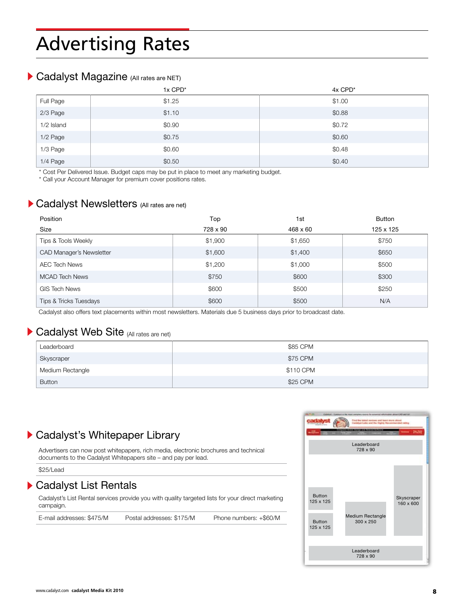## Advertising Rates

## Cadalyst Magazine (All rates are NET)

|            | 1x CPD* | 4x CPD* |
|------------|---------|---------|
| Full Page  | \$1.25  | \$1.00  |
| 2/3 Page   | \$1.10  | \$0.88  |
| 1/2 Island | \$0.90  | \$0.72  |
| 1/2 Page   | \$0.75  | \$0.60  |
| 1/3 Page   | \$0.60  | \$0.48  |
| 1/4 Page   | \$0.50  | \$0.40  |

\* Cost Per Delivered Issue. Budget caps may be put in place to meet any marketing budget.

\* Call your Account Manager for premium cover positions rates.

### **Cadalyst Newsletters** (All rates are net)

| Position                        | Top      | 1st      | <b>Button</b> |
|---------------------------------|----------|----------|---------------|
| Size                            | 728 x 90 | 468 x 60 | 125 x 125     |
| Tips & Tools Weekly             | \$1,900  | \$1,650  | \$750         |
| <b>CAD Manager's Newsletter</b> | \$1,600  | \$1,400  | \$650         |
| <b>AEC Tech News</b>            | \$1,200  | \$1,000  | \$500         |
| <b>MCAD Tech News</b>           | \$750    | \$600    | \$300         |
| <b>GIS Tech News</b>            | \$600    | \$500    | \$250         |
| Tips & Tricks Tuesdays          | \$600    | \$500    | N/A           |

Cadalyst also offers text placements within most newsletters. Materials due 5 business days prior to broadcast date.

### Cadalyst Web Site (All rates are net)

| Leaderboard      | \$85 CPM  |
|------------------|-----------|
| Skyscraper       | \$75 CPM  |
| Medium Rectangle | \$110 CPM |
| <b>Button</b>    | \$25 CPM  |

## Cadalyst's Whitepaper Library

Advertisers can now post whitepapers, rich media, electronic brochures and technical documents to the Cadalyst Whitepapers site – and pay per lead.

\$25/Lead

### ▶ Cadalyst List Rentals

Cadalyst's List Rental services provide you with quality targeted lists for your direct marketing campaign.

E-mail addresses: \$475/M Postal addresses: \$175/M Phone numbers: +\$60/M

Leaderboard 728 x 90 Medium Rectangle 300 x 250 Skyscraper 160 x 600 Button 125 x 125 Leaderboard 728 x 90 Button 125 x 125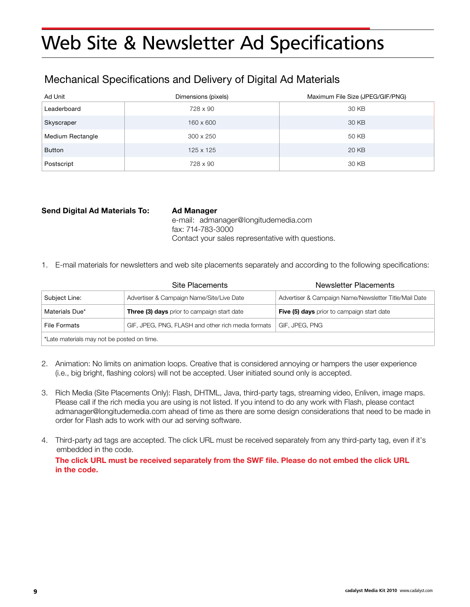## Web Site & Newsletter Ad Specifications

## Mechanical Specifications and Delivery of Digital Ad Materials

| Ad Unit          | Dimensions (pixels) | Maximum File Size (JPEG/GIF/PNG) |
|------------------|---------------------|----------------------------------|
| Leaderboard      | 728 x 90            | 30 KB                            |
| Skyscraper       | 160 x 600           | 30 KB                            |
| Medium Rectangle | $300 \times 250$    | 50 KB                            |
| Button           | 125 x 125           | 20 KB                            |
| Postscript       | 728 x 90            | 30 KB                            |

#### **Send Digital Ad Materials To: Ad Manager**

 e-mail: admanager@longitudemedia.com fax: 714-783-3000 Contact your sales representative with questions.

1. E-mail materials for newsletters and web site placements separately and according to the following specifications:

|                                            | Site Placements                                    | Newsletter Placements                                 |  |  |
|--------------------------------------------|----------------------------------------------------|-------------------------------------------------------|--|--|
| Subject Line:                              | Advertiser & Campaign Name/Site/Live Date          | Advertiser & Campaign Name/Newsletter Title/Mail Date |  |  |
| Materials Due*                             | <b>Three (3) days</b> prior to campaign start date | <b>Five (5) days</b> prior to campaign start date     |  |  |
| <b>File Formats</b>                        | GIF, JPEG, PNG, FLASH and other rich media formats | GIF, JPEG, PNG                                        |  |  |
| *Late materials may not be posted on time. |                                                    |                                                       |  |  |

- 2. Animation: No limits on animation loops. Creative that is considered annoying or hampers the user experience (i.e., big bright, flashing colors) will not be accepted. User initiated sound only is accepted.
- 3. Rich Media (Site Placements Only): Flash, DHTML, Java, third-party tags, streaming video, Enliven, image maps. Please call if the rich media you are using is not listed. If you intend to do any work with Flash, please contact admanager@longitudemedia.com ahead of time as there are some design considerations that need to be made in order for Flash ads to work with our ad serving software.
- 4. Third-party ad tags are accepted. The click URL must be received separately from any third-party tag, even if it's embedded in the code.

**The click URL must be received separately from the SWF file. Please do not embed the click URL in the code.**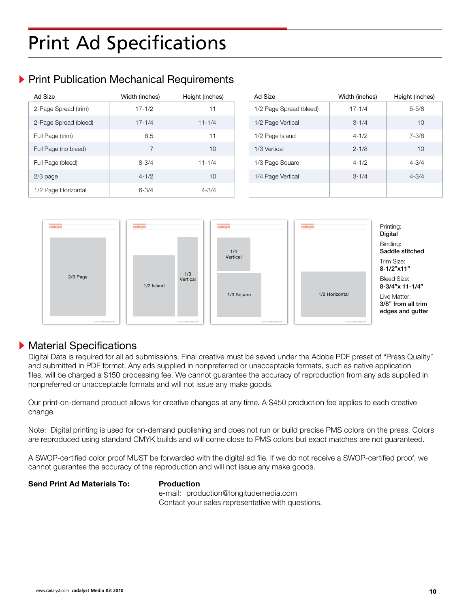## Print Ad Specifications

## **Print Publication Mechanical Requirements**

| Ad Size               | Width (inches) | Height (inches) | Ad Size                 | Width (inches) | Height (inches) |
|-----------------------|----------------|-----------------|-------------------------|----------------|-----------------|
| 2-Page Spread (trim)  | $17 - 1/2$     | 11              | 1/2 Page Spread (bleed) | $17 - 1/4$     | $5 - 5/8$       |
| 2-Page Spread (bleed) | $17 - 1/4$     | $11 - 1/4$      | 1/2 Page Vertical       | $3 - 1/4$      | 10              |
| Full Page (trim)      | 8.5            | 11              | 1/2 Page Island         | $4 - 1/2$      | $7 - 3/8$       |
| Full Page (no bleed)  | $\overline{7}$ | 10              | 1/3 Vertical            | $2 - 1/8$      | 10              |
| Full Page (bleed)     | $8 - 3/4$      | $11 - 1/4$      | 1/3 Page Square         | $4 - 1/2$      | $4 - 3/4$       |
| $2/3$ page            | $4 - 1/2$      | 10              | 1/4 Page Vertical       | $3 - 1/4$      | $4 - 3/4$       |
| 1/2 Page Horizontal   | $6 - 3/4$      | $4 - 3/4$       |                         |                |                 |



### **Material Specifications**

Digital Data is required for all ad submissions. Final creative must be saved under the Adobe PDF preset of "Press Quality" and submitted in PDF format. Any ads supplied in nonpreferred or unacceptable formats, such as native application files, will be charged a \$150 processing fee. We cannot guarantee the accuracy of reproduction from any ads supplied in nonpreferred or unacceptable formats and will not issue any make goods.

Our print-on-demand product allows for creative changes at any time. A \$450 production fee applies to each creative change.

Note: Digital printing is used for on-demand publishing and does not run or build precise PMS colors on the press. Colors are reproduced using standard CMYK builds and will come close to PMS colors but exact matches are not guaranteed.

A SWOP-certified color proof MUST be forwarded with the digital ad file. If we do not receive a SWOP-certified proof, we cannot guarantee the accuracy of the reproduction and will not issue any make goods.

#### **Send Print Ad Materials To: Production**

 e-mail: production@longitudemedia.com Contact your sales representative with questions.